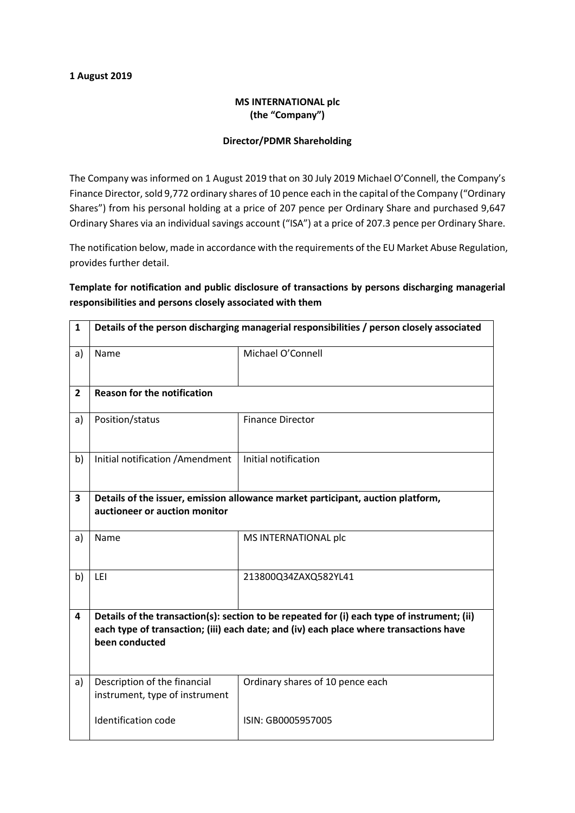## 1 August 2019

## MS INTERNATIONAL plc (the "Company")

## Director/PDMR Shareholding

The Company was informed on 1 August 2019 that on 30 July 2019 Michael O'Connell, the Company's Finance Director, sold 9,772 ordinary shares of 10 pence each in the capital of the Company ("Ordinary Shares") from his personal holding at a price of 207 pence per Ordinary Share and purchased 9,647 Ordinary Shares via an individual savings account ("ISA") at a price of 207.3 pence per Ordinary Share.

The notification below, made in accordance with the requirements of the EU Market Abuse Regulation, provides further detail.

Template for notification and public disclosure of transactions by persons discharging managerial responsibilities and persons closely associated with them

| $\mathbf{1}$ | Details of the person discharging managerial responsibilities / person closely associated                                                                                                               |                                  |
|--------------|---------------------------------------------------------------------------------------------------------------------------------------------------------------------------------------------------------|----------------------------------|
| a)           | Name                                                                                                                                                                                                    | Michael O'Connell                |
| $\mathbf{2}$ | <b>Reason for the notification</b>                                                                                                                                                                      |                                  |
| a)           | Position/status                                                                                                                                                                                         | <b>Finance Director</b>          |
| b)           | Initial notification / Amendment                                                                                                                                                                        | Initial notification             |
| 3            | Details of the issuer, emission allowance market participant, auction platform,<br>auctioneer or auction monitor                                                                                        |                                  |
| a)           | Name                                                                                                                                                                                                    | MS INTERNATIONAL plc             |
| b)           | LEI                                                                                                                                                                                                     | 213800Q34ZAXQ582YL41             |
| 4            | Details of the transaction(s): section to be repeated for (i) each type of instrument; (ii)<br>each type of transaction; (iii) each date; and (iv) each place where transactions have<br>been conducted |                                  |
| a)           | Description of the financial<br>instrument, type of instrument                                                                                                                                          | Ordinary shares of 10 pence each |
|              | <b>Identification code</b>                                                                                                                                                                              | ISIN: GB0005957005               |